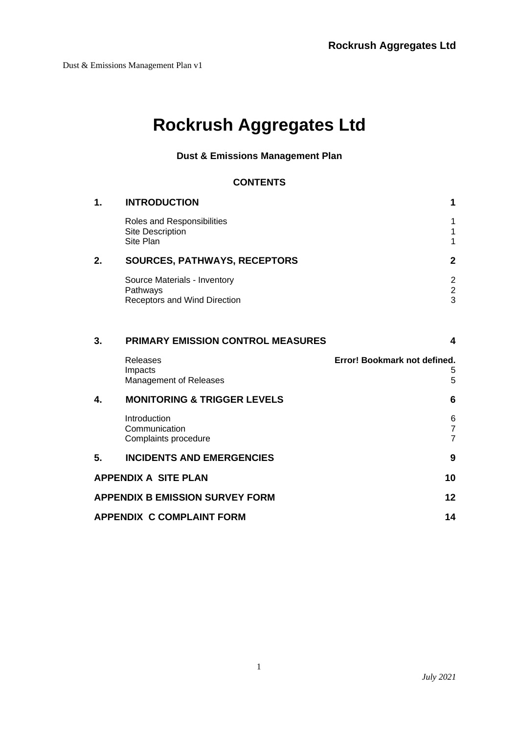# **Rockrush Aggregates Ltd**

# **Dust & Emissions Management Plan**

#### **CONTENTS**

| 1. | <b>INTRODUCTION</b>                                                      | 1                                      |  |
|----|--------------------------------------------------------------------------|----------------------------------------|--|
|    | Roles and Responsibilities<br>Site Description<br>Site Plan              | 1<br>1<br>$\mathbf 1$                  |  |
| 2. | <b>SOURCES, PATHWAYS, RECEPTORS</b>                                      | $\overline{2}$                         |  |
|    | Source Materials - Inventory<br>Pathways<br>Receptors and Wind Direction | $\overline{2}$<br>$\overline{c}$<br>3  |  |
| 3. | <b>PRIMARY EMISSION CONTROL MEASURES</b>                                 | 4                                      |  |
|    | Releases<br>Impacts<br>Management of Releases                            | Error! Bookmark not defined.<br>5<br>5 |  |
| 4. | <b>MONITORING &amp; TRIGGER LEVELS</b>                                   | 6                                      |  |
|    | Introduction<br>Communication<br>Complaints procedure                    | 6<br>$\overline{7}$<br>$\overline{7}$  |  |
| 5. | <b>INCIDENTS AND EMERGENCIES</b>                                         | 9                                      |  |
|    | <b>APPENDIX A SITE PLAN</b>                                              | 10                                     |  |
|    | <b>APPENDIX B EMISSION SURVEY FORM</b>                                   | 12                                     |  |
|    | <b>APPENDIX C COMPLAINT FORM</b><br>14                                   |                                        |  |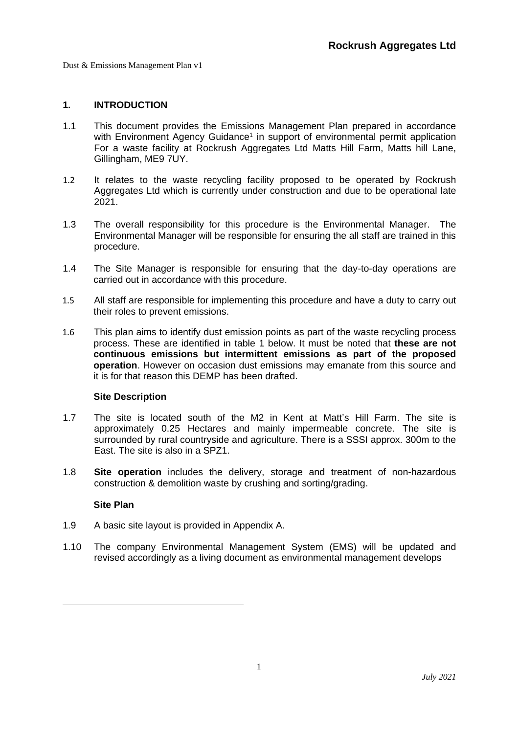#### <span id="page-1-0"></span>**1. INTRODUCTION**

- 1.1 This document provides the Emissions Management Plan prepared in accordance with Environment Agency Guidance<sup>1</sup> in support of environmental permit application For a waste facility at Rockrush Aggregates Ltd Matts Hill Farm, Matts hill Lane, Gillingham, ME9 7UY.
- <span id="page-1-1"></span>1.2 It relates to the waste recycling facility proposed to be operated by Rockrush Aggregates Ltd which is currently under construction and due to be operational late 2021.
- 1.3 The overall responsibility for this procedure is the Environmental Manager. The Environmental Manager will be responsible for ensuring the all staff are trained in this procedure.
- 1.4 The Site Manager is responsible for ensuring that the day-to-day operations are carried out in accordance with this procedure.
- 1.5 All staff are responsible for implementing this procedure and have a duty to carry out their roles to prevent emissions.
- 1.6 This plan aims to identify dust emission points as part of the waste recycling process process. These are identified in table 1 below. It must be noted that **these are not continuous emissions but intermittent emissions as part of the proposed operation**. However on occasion dust emissions may emanate from this source and it is for that reason this DEMP has been drafted.

#### **Site Description**

- <span id="page-1-2"></span>1.7 The site is located south of the M2 in Kent at Matt's Hill Farm. The site is approximately 0.25 Hectares and mainly impermeable concrete. The site is surrounded by rural countryside and agriculture. There is a SSSI approx. 300m to the East. The site is also in a SPZ1.
- 1.8 **Site operation** includes the delivery, storage and treatment of non-hazardous construction & demolition waste by crushing and sorting/grading.

#### **Site Plan**

- <span id="page-1-3"></span>1.9 A basic site layout is provided in Appendix A.
- 1.10 The company Environmental Management System (EMS) will be updated and revised accordingly as a living document as environmental management develops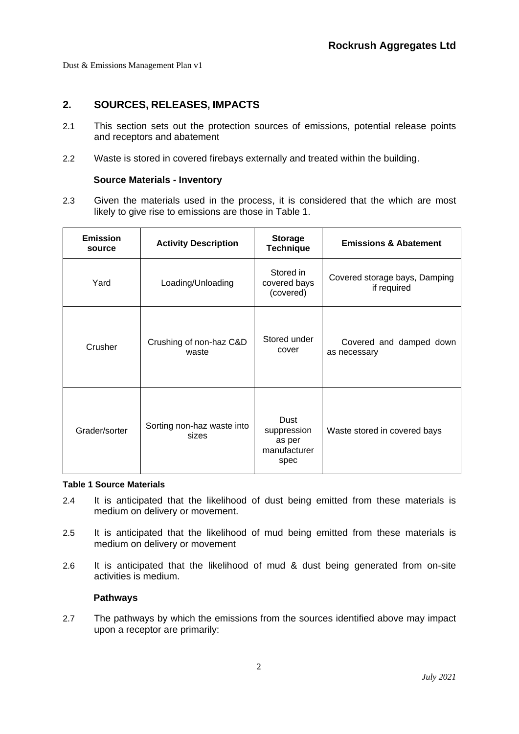# <span id="page-2-0"></span>**2. SOURCES, RELEASES, IMPACTS**

- 2.1 This section sets out the protection sources of emissions, potential release points and receptors and abatement
- 2.2 Waste is stored in covered firebays externally and treated within the building.

#### **Source Materials - Inventory**

<span id="page-2-1"></span>2.3 Given the materials used in the process, it is considered that the which are most likely to give rise to emissions are those in [Table 1.](#page-2-3)

| <b>Emission</b><br>source                            | <b>Activity Description</b> | <b>Storage</b><br><b>Technique</b>                    | <b>Emissions &amp; Abatement</b>             |
|------------------------------------------------------|-----------------------------|-------------------------------------------------------|----------------------------------------------|
| Yard<br>Loading/Unloading                            |                             | Stored in<br>covered bays<br>(covered)                | Covered storage bays, Damping<br>if required |
| Crushing of non-haz C&D<br>Crusher<br>waste          |                             | Stored under<br>cover                                 | Covered and damped down<br>as necessary      |
| Sorting non-haz waste into<br>Grader/sorter<br>sizes |                             | Dust<br>suppression<br>as per<br>manufacturer<br>spec | Waste stored in covered bays                 |

#### <span id="page-2-3"></span>**Table 1 Source Materials**

- 2.4 It is anticipated that the likelihood of dust being emitted from these materials is medium on delivery or movement.
- 2.5 It is anticipated that the likelihood of mud being emitted from these materials is medium on delivery or movement
- 2.6 It is anticipated that the likelihood of mud & dust being generated from on-site activities is medium.

#### **Pathways**

<span id="page-2-2"></span>2.7 The pathways by which the emissions from the sources identified above may impact upon a receptor are primarily: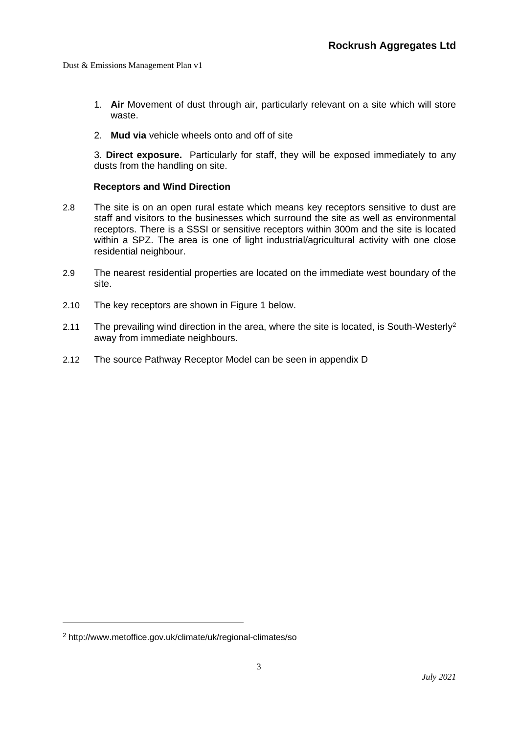- 1. **Air** Movement of dust through air, particularly relevant on a site which will store waste.
- 2. **Mud via** vehicle wheels onto and off of site

3. **Direct exposure.** Particularly for staff, they will be exposed immediately to any dusts from the handling on site.

#### **Receptors and Wind Direction**

- <span id="page-3-0"></span>2.8 The site is on an open rural estate which means key receptors sensitive to dust are staff and visitors to the businesses which surround the site as well as environmental receptors. There is a SSSI or sensitive receptors within 300m and the site is located within a SPZ. The area is one of light industrial/agricultural activity with one close residential neighbour.
- 2.9 The nearest residential properties are located on the immediate west boundary of the site.
- 2.10 The key receptors are shown in Figure 1 below.
- 2.11 The prevailing wind direction in the area, where the site is located, is South-Westerly<sup>2</sup> away from immediate neighbours.
- 2.12 The source Pathway Receptor Model can be seen in appendix D

<sup>2</sup> http://www.metoffice.gov.uk/climate/uk/regional-climates/so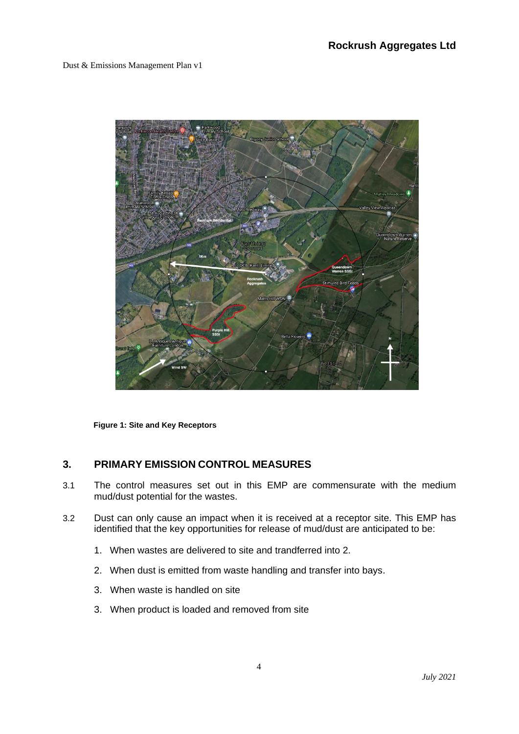

**Figure 1: Site and Key Receptors**

# <span id="page-4-0"></span>**3. PRIMARY EMISSION CONTROL MEASURES**

- 3.1 The control measures set out in this EMP are commensurate with the medium mud/dust potential for the wastes.
- 3.2 Dust can only cause an impact when it is received at a receptor site. This EMP has identified that the key opportunities for release of mud/dust are anticipated to be:
	- 1. When wastes are delivered to site and trandferred into 2.
	- 2. When dust is emitted from waste handling and transfer into bays.
	- 3. When waste is handled on site
	- 3. When product is loaded and removed from site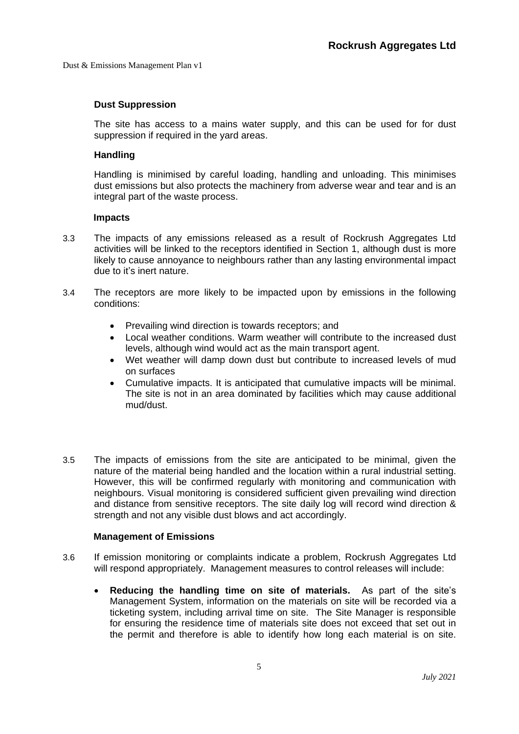#### **Dust Suppression**

The site has access to a mains water supply, and this can be used for for dust suppression if required in the yard areas.

#### **Handling**

Handling is minimised by careful loading, handling and unloading. This minimises dust emissions but also protects the machinery from adverse wear and tear and is an integral part of the waste process.

#### **Impacts**

- <span id="page-5-0"></span>3.3 The impacts of any emissions released as a result of Rockrush Aggregates Ltd activities will be linked to the receptors identified in Section [1,](#page-1-0) although dust is more likely to cause annoyance to neighbours rather than any lasting environmental impact due to it's inert nature.
- 3.4 The receptors are more likely to be impacted upon by emissions in the following conditions:
	- Prevailing wind direction is towards receptors; and
	- Local weather conditions. Warm weather will contribute to the increased dust levels, although wind would act as the main transport agent.
	- Wet weather will damp down dust but contribute to increased levels of mud on surfaces
	- Cumulative impacts. It is anticipated that cumulative impacts will be minimal. The site is not in an area dominated by facilities which may cause additional mud/dust.
- 3.5 The impacts of emissions from the site are anticipated to be minimal, given the nature of the material being handled and the location within a rural industrial setting. However, this will be confirmed regularly with monitoring and communication with neighbours. Visual monitoring is considered sufficient given prevailing wind direction and distance from sensitive receptors. The site daily log will record wind direction & strength and not any visible dust blows and act accordingly.

#### **Management of Emissions**

- <span id="page-5-1"></span>3.6 If emission monitoring or complaints indicate a problem, Rockrush Aggregates Ltd will respond appropriately. Management measures to control releases will include:
	- **Reducing the handling time on site of materials.** As part of the site's Management System, information on the materials on site will be recorded via a ticketing system, including arrival time on site. The Site Manager is responsible for ensuring the residence time of materials site does not exceed that set out in the permit and therefore is able to identify how long each material is on site.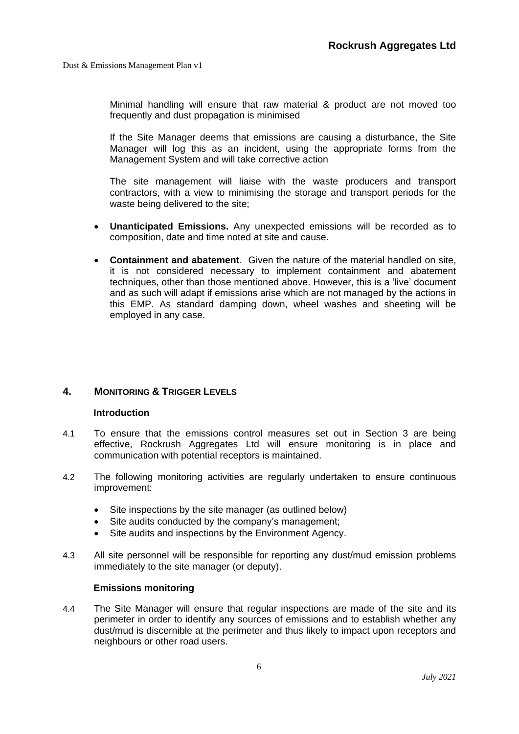Minimal handling will ensure that raw material & product are not moved too frequently and dust propagation is minimised

If the Site Manager deems that emissions are causing a disturbance, the Site Manager will log this as an incident, using the appropriate forms from the Management System and will take corrective action

The site management will liaise with the waste producers and transport contractors, with a view to minimising the storage and transport periods for the waste being delivered to the site;

- **Unanticipated Emissions.** Any unexpected emissions will be recorded as to composition, date and time noted at site and cause.
- **Containment and abatement**. Given the nature of the material handled on site, it is not considered necessary to implement containment and abatement techniques, other than those mentioned above. However, this is a 'live' document and as such will adapt if emissions arise which are not managed by the actions in this EMP. As standard damping down, wheel washes and sheeting will be employed in any case.

#### <span id="page-6-1"></span><span id="page-6-0"></span>**4. MONITORING & TRIGGER LEVELS**

#### **Introduction**

- 4.1 To ensure that the emissions control measures set out in Section [3](#page-4-0) are being effective, Rockrush Aggregates Ltd will ensure monitoring is in place and communication with potential receptors is maintained.
- 4.2 The following monitoring activities are regularly undertaken to ensure continuous improvement:
	- Site inspections by the site manager (as outlined below)
	- Site audits conducted by the company's management;
	- Site audits and inspections by the Environment Agency.
- 4.3 All site personnel will be responsible for reporting any dust/mud emission problems immediately to the site manager (or deputy).

#### **Emissions monitoring**

4.4 The Site Manager will ensure that regular inspections are made of the site and its perimeter in order to identify any sources of emissions and to establish whether any dust/mud is discernible at the perimeter and thus likely to impact upon receptors and neighbours or other road users.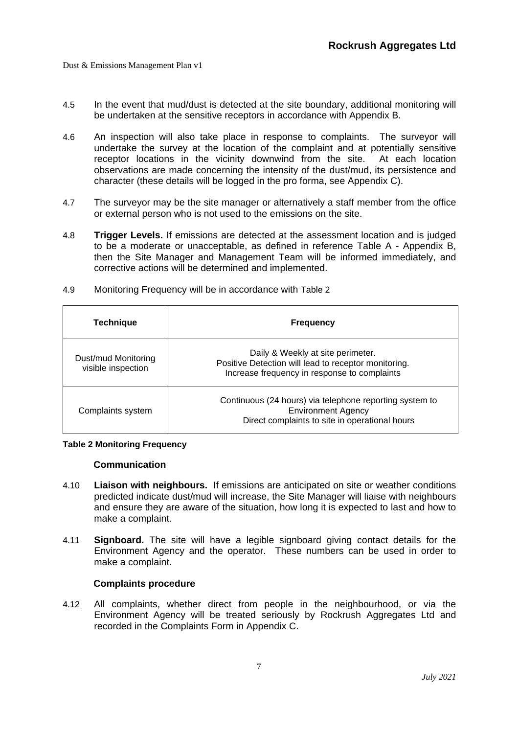- 4.5 In the event that mud/dust is detected at the site boundary, additional monitoring will be undertaken at the sensitive receptors in accordance with Appendix B.
- 4.6 An inspection will also take place in response to complaints. The surveyor will undertake the survey at the location of the complaint and at potentially sensitive receptor locations in the vicinity downwind from the site. At each location observations are made concerning the intensity of the dust/mud, its persistence and character (these details will be logged in the pro forma, see Appendix C).
- 4.7 The surveyor may be the site manager or alternatively a staff member from the office or external person who is not used to the emissions on the site.
- 4.8 **Trigger Levels.** If emissions are detected at the assessment location and is judged to be a moderate or unacceptable, as defined in reference Table A - Appendix B, then the Site Manager and Management Team will be informed immediately, and corrective actions will be determined and implemented.

| <b>Technique</b>                          | <b>Frequency</b>                                                                                                                          |
|-------------------------------------------|-------------------------------------------------------------------------------------------------------------------------------------------|
| Dust/mud Monitoring<br>visible inspection | Daily & Weekly at site perimeter.<br>Positive Detection will lead to receptor monitoring.<br>Increase frequency in response to complaints |
| Complaints system                         | Continuous (24 hours) via telephone reporting system to<br><b>Environment Agency</b><br>Direct complaints to site in operational hours    |

4.9 Monitoring Frequency will be in accordance with [Table 2](#page-7-2)

#### <span id="page-7-2"></span><span id="page-7-0"></span>**Table 2 Monitoring Frequency**

#### **Communication**

- 4.10 **Liaison with neighbours.** If emissions are anticipated on site or weather conditions predicted indicate dust/mud will increase, the Site Manager will liaise with neighbours and ensure they are aware of the situation, how long it is expected to last and how to make a complaint.
- 4.11 **Signboard.** The site will have a legible signboard giving contact details for the Environment Agency and the operator. These numbers can be used in order to make a complaint.

#### **Complaints procedure**

<span id="page-7-1"></span>4.12 All complaints, whether direct from people in the neighbourhood, or via the Environment Agency will be treated seriously by Rockrush Aggregates Ltd and recorded in the Complaints Form in Appendix C.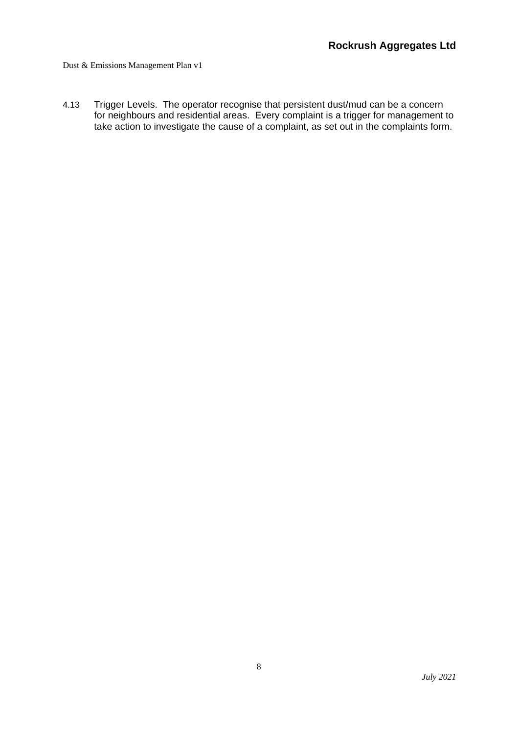4.13 Trigger Levels. The operator recognise that persistent dust/mud can be a concern for neighbours and residential areas. Every complaint is a trigger for management to take action to investigate the cause of a complaint, as set out in the complaints form.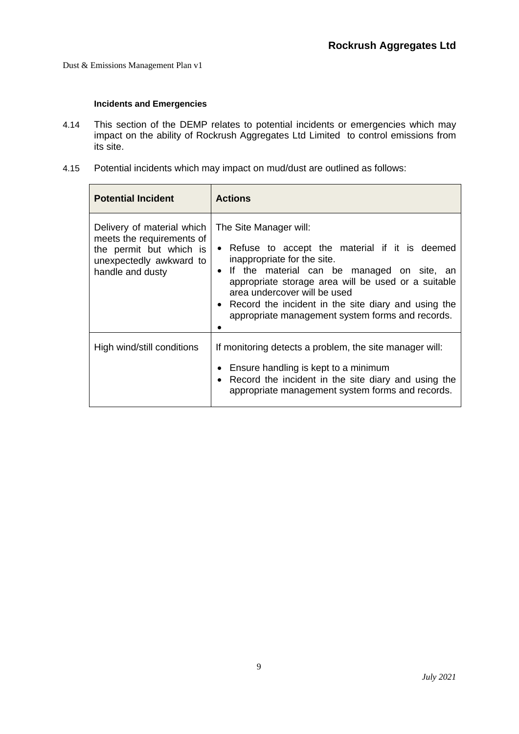#### **Incidents and Emergencies**

- <span id="page-9-0"></span>4.14 This section of the DEMP relates to potential incidents or emergencies which may impact on the ability of Rockrush Aggregates Ltd Limited to control emissions from its site.
- 4.15 Potential incidents which may impact on mud/dust are outlined as follows:

| <b>Potential Incident</b>                                                                                                         | <b>Actions</b>                                                                                                                                                                                                                                                                                                                                               |  |  |  |
|-----------------------------------------------------------------------------------------------------------------------------------|--------------------------------------------------------------------------------------------------------------------------------------------------------------------------------------------------------------------------------------------------------------------------------------------------------------------------------------------------------------|--|--|--|
| Delivery of material which<br>meets the requirements of<br>the permit but which is<br>unexpectedly awkward to<br>handle and dusty | The Site Manager will:<br>• Refuse to accept the material if it is deemed<br>inappropriate for the site.<br>• If the material can be managed on site, an<br>appropriate storage area will be used or a suitable<br>area undercover will be used<br>• Record the incident in the site diary and using the<br>appropriate management system forms and records. |  |  |  |
| High wind/still conditions                                                                                                        | If monitoring detects a problem, the site manager will:<br>Ensure handling is kept to a minimum<br>Record the incident in the site diary and using the<br>appropriate management system forms and records.                                                                                                                                                   |  |  |  |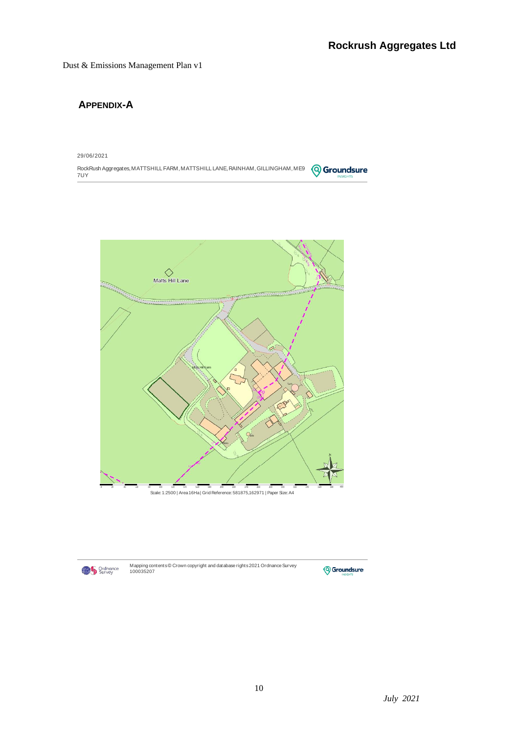# <span id="page-10-0"></span>**APPENDIX-A**

29/06/2021

RockRush Aggregates, MATTSHILL FARM, MATTSHILL LANE, RAINHAM, GILLINGHAM, ME9 ( Q Groundsure 7UY





Mapping contents© Crown copyright and database rights 2021 Ordnance Survey<br>100035207

**Q** Groundsure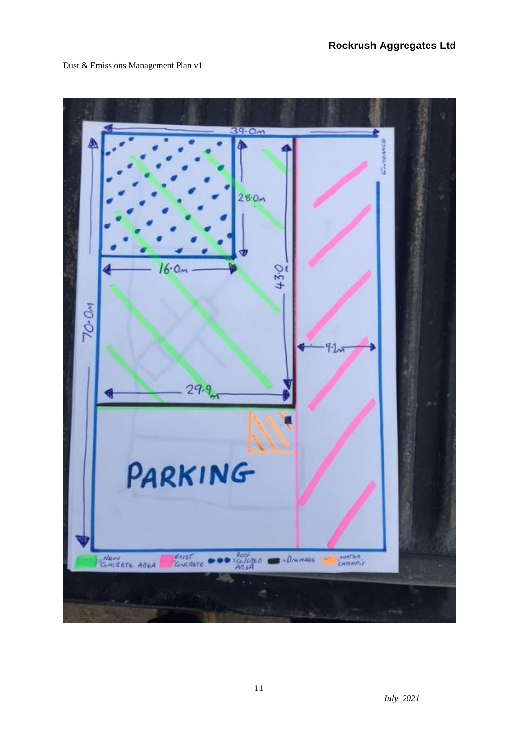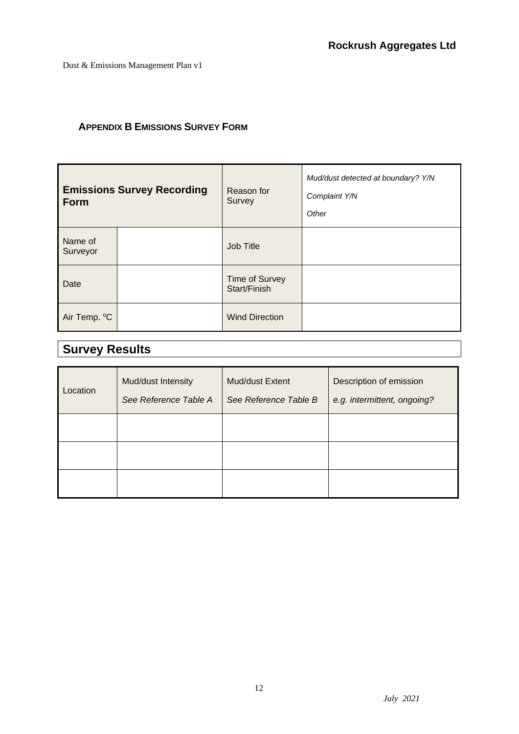# <span id="page-12-0"></span>**APPENDIX B EMISSIONS SURVEY FORM**

| <b>Emissions Survey Recording</b><br><b>Form</b> |  | Reason for<br>Survey                  | Mud/dust detected at boundary? Y/N<br>Complaint Y/N<br>Other |
|--------------------------------------------------|--|---------------------------------------|--------------------------------------------------------------|
| Name of<br>Surveyor                              |  | Job Title                             |                                                              |
| Date                                             |  | <b>Time of Survey</b><br>Start/Finish |                                                              |
| Air Temp. °C                                     |  | <b>Wind Direction</b>                 |                                                              |

# **Survey Results**

| Location | Mud/dust Intensity<br>See Reference Table A | <b>Mud/dust Extent</b><br>See Reference Table B | Description of emission<br>e.g. intermittent, ongoing? |
|----------|---------------------------------------------|-------------------------------------------------|--------------------------------------------------------|
|          |                                             |                                                 |                                                        |
|          |                                             |                                                 |                                                        |
|          |                                             |                                                 |                                                        |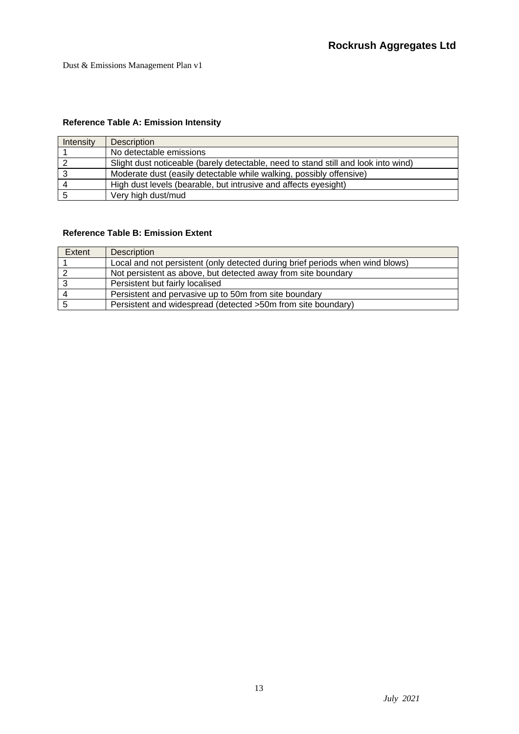# **Reference Table A: Emission Intensity**

| <b>Intensity</b> | <b>Description</b>                                                                 |
|------------------|------------------------------------------------------------------------------------|
|                  | No detectable emissions                                                            |
|                  | Slight dust noticeable (barely detectable, need to stand still and look into wind) |
|                  | Moderate dust (easily detectable while walking, possibly offensive)                |
|                  | High dust levels (bearable, but intrusive and affects eyesight)                    |
|                  | Very high dust/mud                                                                 |

#### **Reference Table B: Emission Extent**

| Extent   | Description                                                                   |
|----------|-------------------------------------------------------------------------------|
|          | Local and not persistent (only detected during brief periods when wind blows) |
|          | Not persistent as above, but detected away from site boundary                 |
|          | Persistent but fairly localised                                               |
| $\Delta$ | Persistent and pervasive up to 50m from site boundary                         |
|          | Persistent and widespread (detected >50m from site boundary)                  |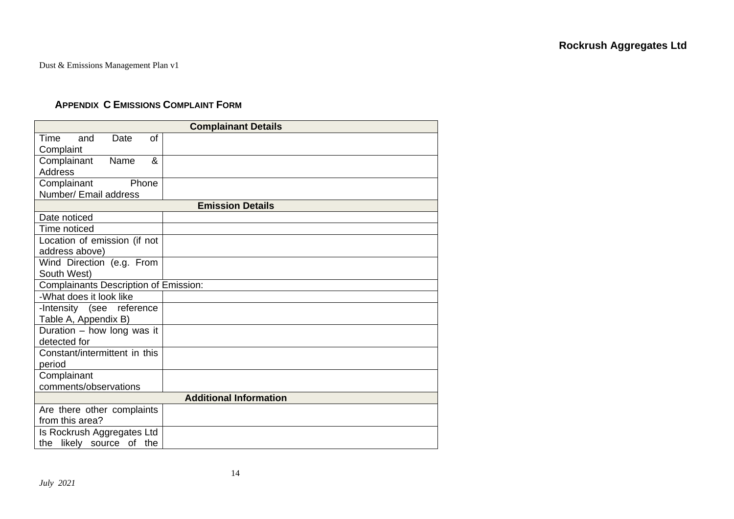## **APPENDIX C EMISSIONS COMPLAINT FORM**

<span id="page-14-0"></span>

| <b>Complainant Details</b>                   |                               |  |  |  |
|----------------------------------------------|-------------------------------|--|--|--|
| <b>of</b><br>Time<br>and<br>Date             |                               |  |  |  |
| Complaint                                    |                               |  |  |  |
| Complainant<br>Name<br>&                     |                               |  |  |  |
| <b>Address</b>                               |                               |  |  |  |
| Complainant<br>Phone                         |                               |  |  |  |
| Number/ Email address                        |                               |  |  |  |
|                                              | <b>Emission Details</b>       |  |  |  |
| Date noticed                                 |                               |  |  |  |
| Time noticed                                 |                               |  |  |  |
| Location of emission (if not                 |                               |  |  |  |
| address above)                               |                               |  |  |  |
| Wind Direction (e.g. From                    |                               |  |  |  |
| South West)                                  |                               |  |  |  |
| <b>Complainants Description of Emission:</b> |                               |  |  |  |
| -What does it look like                      |                               |  |  |  |
| -Intensity (see reference                    |                               |  |  |  |
| Table A, Appendix B)                         |                               |  |  |  |
| Duration - how long was it                   |                               |  |  |  |
| detected for                                 |                               |  |  |  |
| Constant/intermittent in this                |                               |  |  |  |
| period                                       |                               |  |  |  |
| Complainant                                  |                               |  |  |  |
| comments/observations                        |                               |  |  |  |
|                                              | <b>Additional Information</b> |  |  |  |
| Are there other complaints                   |                               |  |  |  |
| from this area?                              |                               |  |  |  |
| Is Rockrush Aggregates Ltd                   |                               |  |  |  |
| the likely source of the                     |                               |  |  |  |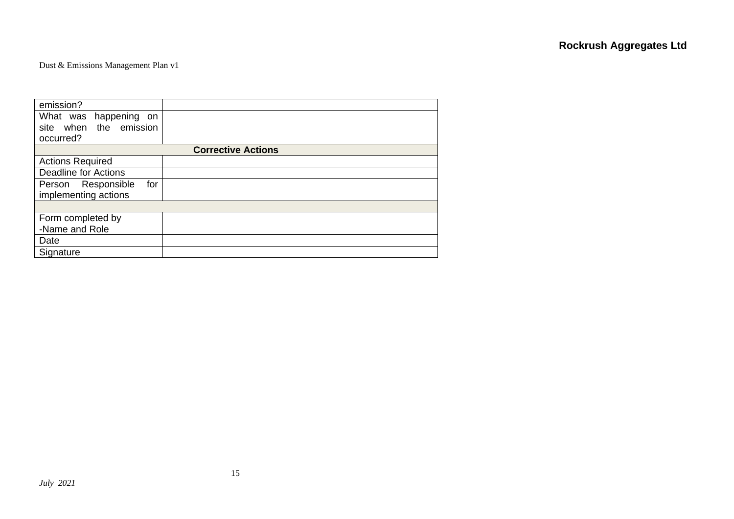| emission?                   |                           |
|-----------------------------|---------------------------|
| What was happening<br>on    |                           |
| site when the emission      |                           |
| occurred?                   |                           |
|                             | <b>Corrective Actions</b> |
| <b>Actions Required</b>     |                           |
| <b>Deadline for Actions</b> |                           |
| Person Responsible<br>for   |                           |
| implementing actions        |                           |
|                             |                           |
| Form completed by           |                           |
| -Name and Role              |                           |
| Date                        |                           |
| Signature                   |                           |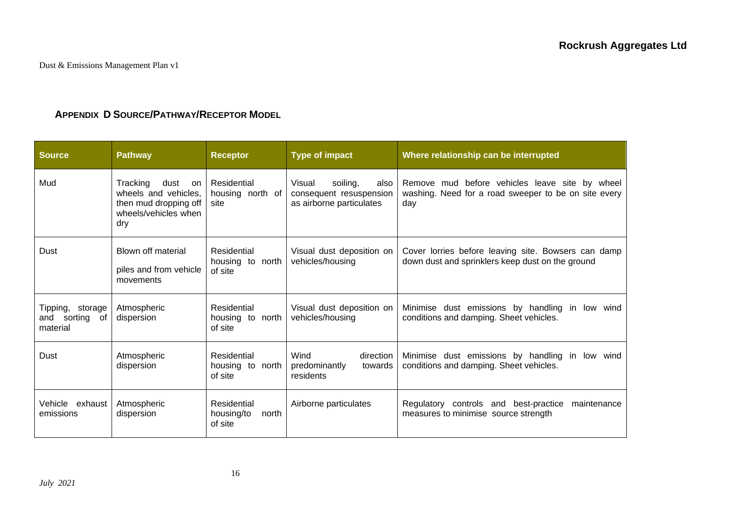# **APPENDIX D SOURCE/PATHWAY/RECEPTOR MODEL**

| <b>Source</b>                                        | <b>Pathway</b>                                                                                         | <b>Receptor</b>                               | <b>Type of impact</b>                                                             | Where relationship can be interrupted                                                                         |
|------------------------------------------------------|--------------------------------------------------------------------------------------------------------|-----------------------------------------------|-----------------------------------------------------------------------------------|---------------------------------------------------------------------------------------------------------------|
| Mud                                                  | Tracking<br>dust<br>on<br>wheels and vehicles,<br>then mud dropping off<br>wheels/vehicles when<br>dry | Residential<br>housing north of<br>site       | soiling,<br>Visual<br>also<br>consequent resuspension<br>as airborne particulates | Remove mud before vehicles leave site by wheel<br>washing. Need for a road sweeper to be on site every<br>day |
| Dust                                                 | Blown off material<br>piles and from vehicle<br>movements                                              | Residential<br>housing to north<br>of site    | Visual dust deposition on<br>vehicles/housing                                     | Cover lorries before leaving site. Bowsers can damp<br>down dust and sprinklers keep dust on the ground       |
| Tipping,<br>storage<br>sorting of<br>and<br>material | Atmospheric<br>dispersion                                                                              | Residential<br>housing to north<br>of site    | Visual dust deposition on<br>vehicles/housing                                     | Minimise dust emissions by handling in<br>low wind<br>conditions and damping. Sheet vehicles.                 |
| Dust                                                 | Atmospheric<br>dispersion                                                                              | Residential<br>housing to north<br>of site    | Wind<br>direction<br>predominantly<br>towards<br>residents                        | Minimise dust emissions by handling in<br>low wind<br>conditions and damping. Sheet vehicles.                 |
| Vehicle<br>exhaust<br>emissions                      | Atmospheric<br>dispersion                                                                              | Residential<br>housing/to<br>north<br>of site | Airborne particulates                                                             | Regulatory controls and best-practice<br>maintenance<br>measures to minimise source strength                  |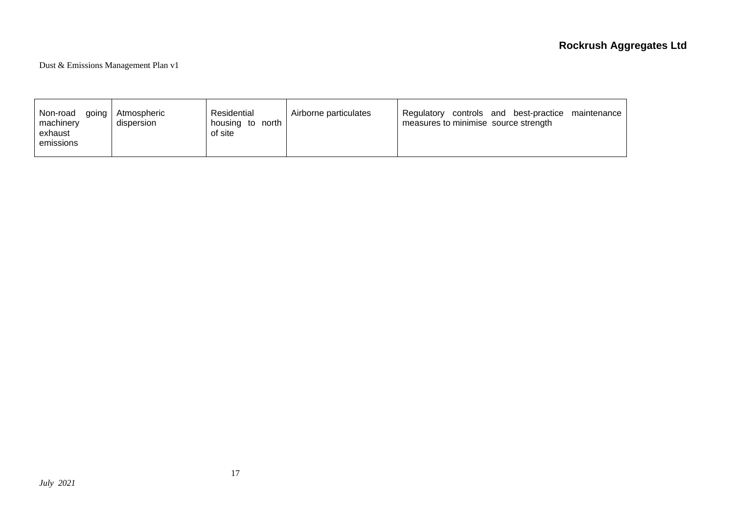| Non-road<br>qoing<br>machinery<br>exhaust<br>emissions | Atmospheric<br>dispersion | Residential<br>housing to north<br>of site | Airborne particulates | and best-practice maintenance<br>controls<br>Regulatory<br>measures to minimise source strength |
|--------------------------------------------------------|---------------------------|--------------------------------------------|-----------------------|-------------------------------------------------------------------------------------------------|
|--------------------------------------------------------|---------------------------|--------------------------------------------|-----------------------|-------------------------------------------------------------------------------------------------|